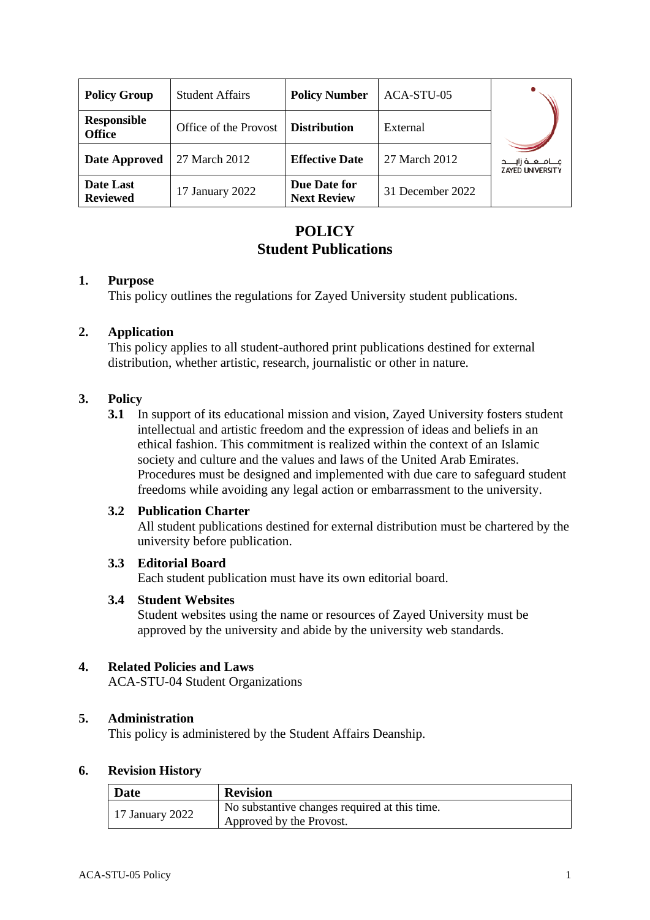| <b>Policy Group</b>          | <b>Student Affairs</b> | <b>Policy Number</b>               | ACA-STU-05       |                                                      |
|------------------------------|------------------------|------------------------------------|------------------|------------------------------------------------------|
| Responsible<br><b>Office</b> | Office of the Provost  | <b>Distribution</b>                | External         |                                                      |
| <b>Date Approved</b>         | 27 March 2012          | <b>Effective Date</b>              | 27 March 2012    | مــــامـــعـــة زايـــــد<br><b>ZAYED UNIVERSITY</b> |
| Date Last<br><b>Reviewed</b> | 17 January 2022        | Due Date for<br><b>Next Review</b> | 31 December 2022 |                                                      |

# **POLICY Student Publications**

#### **1. Purpose**

This policy outlines the regulations for Zayed University student publications.

## **2. Application**

This policy applies to all student-authored print publications destined for external distribution, whether artistic, research, journalistic or other in nature.

## **3. Policy**

**3.1** In support of its educational mission and vision, Zayed University fosters student intellectual and artistic freedom and the expression of ideas and beliefs in an ethical fashion. This commitment is realized within the context of an Islamic society and culture and the values and laws of the United Arab Emirates. Procedures must be designed and implemented with due care to safeguard student freedoms while avoiding any legal action or embarrassment to the university.

## **3.2 Publication Charter**

All student publications destined for external distribution must be chartered by the university before publication.

## **3.3 Editorial Board**

Each student publication must have its own editorial board.

## **3.4 Student Websites**

Student websites using the name or resources of Zayed University must be approved by the university and abide by the university web standards.

# **4. Related Policies and Laws**

ACA-STU-04 Student Organizations

#### **5. Administration**

This policy is administered by the Student Affairs Deanship.

#### **6. Revision History**

| <b>Date</b>     | <b>Revision</b>                               |  |
|-----------------|-----------------------------------------------|--|
| 17 January 2022 | No substantive changes required at this time. |  |
|                 | Approved by the Provost.                      |  |